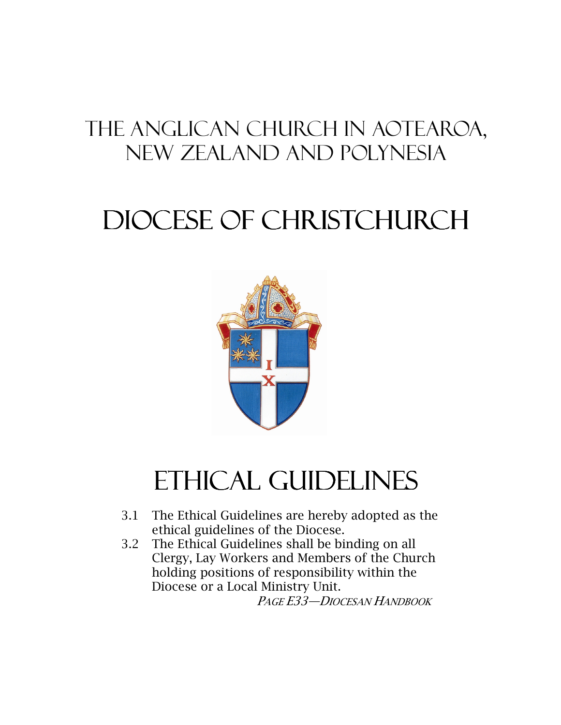# The Anglican Church in Aotearoa, New Zealand and Polynesia

# Diocese of Christchurch Diocese of



# ETHICAL GUIDELINES

- 3.1 The Ethical Guidelines are hereby adopted as the ethical guidelines of the Diocese.
- 3.2 The Ethical Guidelines shall be binding on all Clergy, Lay Workers and Members of the Church holding positions of responsibility within the Diocese or a Local Ministry Unit. PAGE E33—DIOCESAN HANDBOOK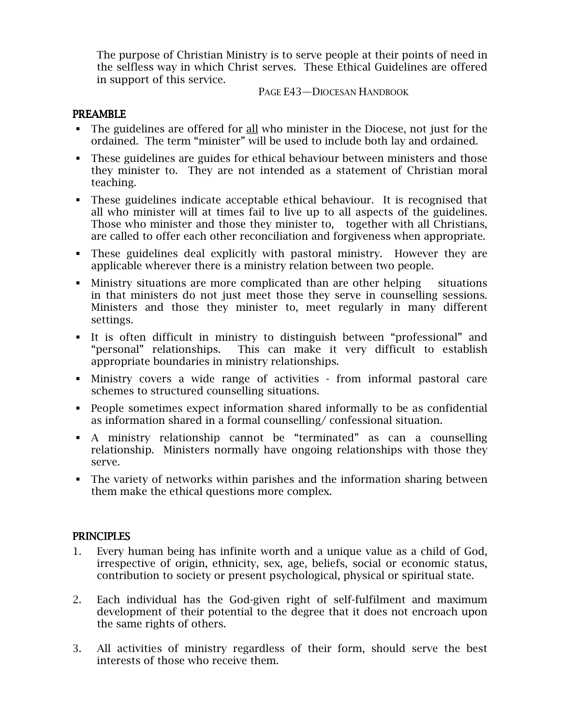The purpose of Christian Ministry is to serve people at their points of need in the selfless way in which Christ serves. These Ethical Guidelines are offered in support of this service.

PAGE E43—DIOCESAN HANDBOOK

#### PREAMBLE

- The guidelines are offered for <u>all</u> who minister in the Diocese, not just for the ordained. The term "minister" will be used to include both lay and ordained.
- These guidelines are guides for ethical behaviour between ministers and those they minister to. They are not intended as a statement of Christian moral teaching.
- These guidelines indicate acceptable ethical behaviour. It is recognised that all who minister will at times fail to live up to all aspects of the guidelines. Those who minister and those they minister to, together with all Christians, are called to offer each other reconciliation and forgiveness when appropriate.
- These guidelines deal explicitly with pastoral ministry. However they are applicable wherever there is a ministry relation between two people.
- Ministry situations are more complicated than are other helping situations in that ministers do not just meet those they serve in counselling sessions. Ministers and those they minister to, meet regularly in many different settings.
- It is often difficult in ministry to distinguish between "professional" and "personal" relationships. This can make it very difficult to establish appropriate boundaries in ministry relationships.
- Ministry covers a wide range of activities from informal pastoral care schemes to structured counselling situations.
- People sometimes expect information shared informally to be as confidential as information shared in a formal counselling/ confessional situation.
- A ministry relationship cannot be "terminated" as can a counselling relationship. Ministers normally have ongoing relationships with those they serve.
- The variety of networks within parishes and the information sharing between them make the ethical questions more complex.

# **PRINCIPLES**

- 1. Every human being has infinite worth and a unique value as a child of God, irrespective of origin, ethnicity, sex, age, beliefs, social or economic status, contribution to society or present psychological, physical or spiritual state.
- 2. Each individual has the God-given right of self-fulfilment and maximum development of their potential to the degree that it does not encroach upon the same rights of others.
- 3. All activities of ministry regardless of their form, should serve the best interests of those who receive them.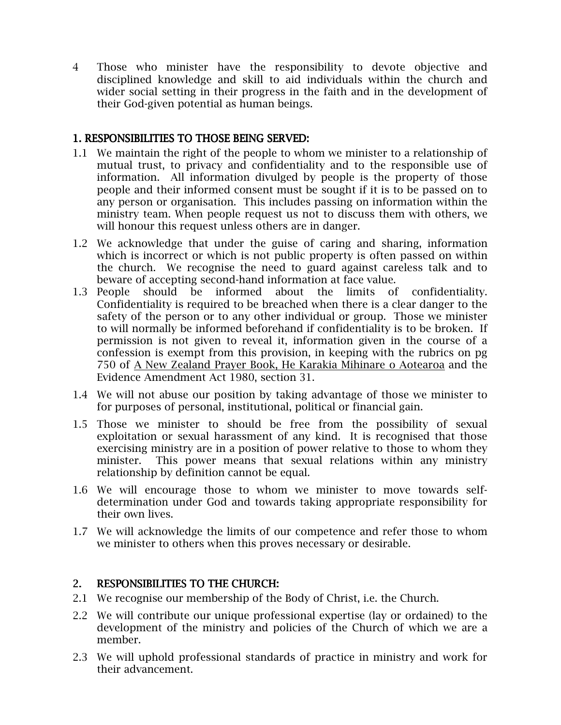4 Those who minister have the responsibility to devote objective and disciplined knowledge and skill to aid individuals within the church and wider social setting in their progress in the faith and in the development of their God-given potential as human beings.

# 1. RESPONSIBILITIES TO THOSE BEING SERVED:

- 1.1 We maintain the right of the people to whom we minister to a relationship of mutual trust, to privacy and confidentiality and to the responsible use of information. All information divulged by people is the property of those people and their informed consent must be sought if it is to be passed on to any person or organisation. This includes passing on information within the ministry team. When people request us not to discuss them with others, we will honour this request unless others are in danger.
- 1.2 We acknowledge that under the guise of caring and sharing, information which is incorrect or which is not public property is often passed on within the church. We recognise the need to guard against careless talk and to beware of accepting second-hand information at face value.
- 1.3 People should be informed about the limits of confidentiality. Confidentiality is required to be breached when there is a clear danger to the safety of the person or to any other individual or group. Those we minister to will normally be informed beforehand if confidentiality is to be broken. If permission is not given to reveal it, information given in the course of a confession is exempt from this provision, in keeping with the rubrics on pg 750 of A New Zealand Prayer Book, He Karakia Mihinare o Aotearoa and the Evidence Amendment Act 1980, section 31.
- 1.4 We will not abuse our position by taking advantage of those we minister to for purposes of personal, institutional, political or financial gain.
- 1.5 Those we minister to should be free from the possibility of sexual exploitation or sexual harassment of any kind. It is recognised that those exercising ministry are in a position of power relative to those to whom they minister. This power means that sexual relations within any ministry relationship by definition cannot be equal.
- 1.6 We will encourage those to whom we minister to move towards selfdetermination under God and towards taking appropriate responsibility for their own lives.
- 1.7 We will acknowledge the limits of our competence and refer those to whom we minister to others when this proves necessary or desirable.

# 2. RESPONSIBILITIES TO THE CHURCH:

- 2.1 We recognise our membership of the Body of Christ, i.e. the Church.
- 2.2 We will contribute our unique professional expertise (lay or ordained) to the development of the ministry and policies of the Church of which we are a member.
- 2.3 We will uphold professional standards of practice in ministry and work for their advancement.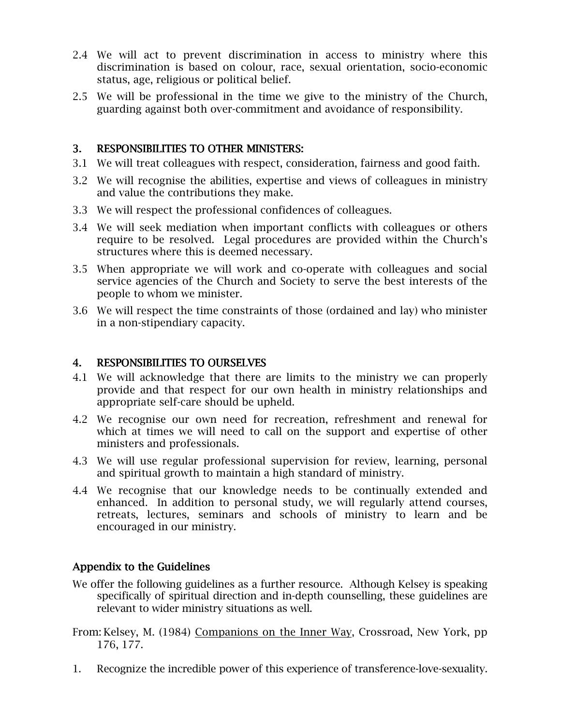- 2.4 We will act to prevent discrimination in access to ministry where this discrimination is based on colour, race, sexual orientation, socio-economic status, age, religious or political belief.
- 2.5 We will be professional in the time we give to the ministry of the Church, guarding against both over-commitment and avoidance of responsibility.

# 3. RESPONSIBILITIES TO OTHER MINISTERS:

- 3.1 We will treat colleagues with respect, consideration, fairness and good faith.
- 3.2 We will recognise the abilities, expertise and views of colleagues in ministry and value the contributions they make.
- 3.3 We will respect the professional confidences of colleagues.
- 3.4 We will seek mediation when important conflicts with colleagues or others require to be resolved. Legal procedures are provided within the Church's structures where this is deemed necessary.
- 3.5 When appropriate we will work and co-operate with colleagues and social service agencies of the Church and Society to serve the best interests of the people to whom we minister.
- 3.6 We will respect the time constraints of those (ordained and lay) who minister in a non-stipendiary capacity.

### 4. RESPONSIBILITIES TO OURSELVES

- 4.1 We will acknowledge that there are limits to the ministry we can properly provide and that respect for our own health in ministry relationships and appropriate self-care should be upheld.
- 4.2 We recognise our own need for recreation, refreshment and renewal for which at times we will need to call on the support and expertise of other ministers and professionals.
- 4.3 We will use regular professional supervision for review, learning, personal and spiritual growth to maintain a high standard of ministry.
- 4.4 We recognise that our knowledge needs to be continually extended and enhanced. In addition to personal study, we will regularly attend courses, retreats, lectures, seminars and schools of ministry to learn and be encouraged in our ministry.

# Appendix to the Guidelines

- We offer the following guidelines as a further resource. Although Kelsey is speaking specifically of spiritual direction and in-depth counselling, these guidelines are relevant to wider ministry situations as well.
- From: Kelsey, M. (1984) Companions on the Inner Way, Crossroad, New York, pp 176, 177.
- 1. Recognize the incredible power of this experience of transference-love-sexuality.